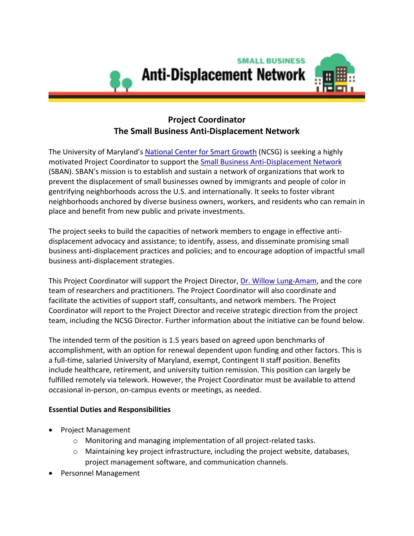

# **Project Coordinator The Small Business Anti-Displacement Network**

The University of Maryland's [National Center for Smart Growth](https://www.umdsmartgrowth.org/) (NCSG) is seeking a highly motivated Project Coordinator to support th[e Small Business Anti-Displacement Network](antidisplacement.org) (SBAN). SBAN's mission is to establish and sustain a network of organizations that work to prevent the displacement of small businesses owned by immigrants and people of color in gentrifying neighborhoods across the U.S. and internationally. It seeks to foster vibrant neighborhoods anchored by diverse business owners, workers, and residents who can remain in place and benefit from new public and private investments.

The project seeks to build the capacities of network members to engage in effective antidisplacement advocacy and assistance; to identify, assess, and disseminate promising small business anti-displacement practices and policies; and to encourage adoption of impactful small business anti-displacement strategies.

This Project Coordinator will support the Project Director, [Dr. Willow Lung-Amam,](https://arch.umd.edu/people/willow-lung-amam) and the core team of researchers and practitioners. The Project Coordinator will also coordinate and facilitate the activities of support staff, consultants, and network members. The Project Coordinator will report to the Project Director and receive strategic direction from the project team, including the NCSG Director. Further information about the initiative can be found below.

The intended term of the position is 1.5 years based on agreed upon benchmarks of accomplishment, with an option for renewal dependent upon funding and other factors. This is a full-time, salaried University of Maryland, exempt, Contingent II staff position. Benefits include healthcare, retirement, and university tuition remission. This position can largely be fulfilled remotely via telework. However, the Project Coordinator must be available to attend occasional in-person, on-campus events or meetings, as needed.

# **Essential Duties and Responsibilities**

- Project Management
	- o Monitoring and managing implementation of all project-related tasks.
	- $\circ$  Maintaining key project infrastructure, including the project website, databases, project management software, and communication channels.
- Personnel Management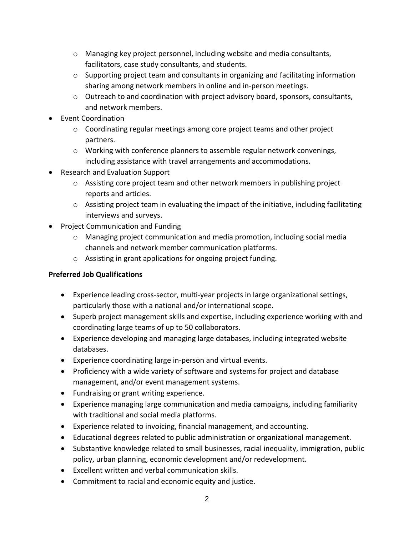- $\circ$  Managing key project personnel, including website and media consultants, facilitators, case study consultants, and students.
- $\circ$  Supporting project team and consultants in organizing and facilitating information sharing among network members in online and in-person meetings.
- o Outreach to and coordination with project advisory board, sponsors, consultants, and network members.
- Event Coordination
	- $\circ$  Coordinating regular meetings among core project teams and other project partners.
	- o Working with conference planners to assemble regular network convenings, including assistance with travel arrangements and accommodations.
- Research and Evaluation Support
	- $\circ$  Assisting core project team and other network members in publishing project reports and articles.
	- o Assisting project team in evaluating the impact of the initiative, including facilitating interviews and surveys.
- Project Communication and Funding
	- $\circ$  Managing project communication and media promotion, including social media channels and network member communication platforms.
	- o Assisting in grant applications for ongoing project funding.

### **Preferred Job Qualifications**

- Experience leading cross-sector, multi-year projects in large organizational settings, particularly those with a national and/or international scope.
- Superb project management skills and expertise, including experience working with and coordinating large teams of up to 50 collaborators.
- Experience developing and managing large databases, including integrated website databases.
- Experience coordinating large in-person and virtual events.
- Proficiency with a wide variety of software and systems for project and database management, and/or event management systems.
- Fundraising or grant writing experience.
- Experience managing large communication and media campaigns, including familiarity with traditional and social media platforms.
- Experience related to invoicing, financial management, and accounting.
- Educational degrees related to public administration or organizational management.
- Substantive knowledge related to small businesses, racial inequality, immigration, public policy, urban planning, economic development and/or redevelopment.
- Excellent written and verbal communication skills.
- Commitment to racial and economic equity and justice.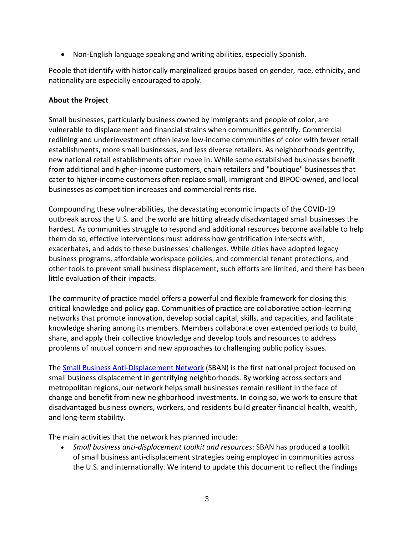• Non-English language speaking and writing abilities, especially Spanish.

People that identify with historically marginalized groups based on gender, race, ethnicity, and nationality are especially encouraged to apply.

### **About the Project**

Small businesses, particularly business owned by immigrants and people of color, are vulnerable to displacement and financial strains when communities gentrify. Commercial redlining and underinvestment often leave low-income communities of color with fewer retail establishments, more small businesses, and less diverse retailers. As neighborhoods gentrify, new national retail establishments often move in. While some established businesses benefit from additional and higher-income customers, chain retailers and "boutique" businesses that cater to higher-income customers often replace small, immigrant and BIPOC-owned, and local businesses as competition increases and commercial rents rise.

Compounding these vulnerabilities, the devastating economic impacts of the COVID-19 outbreak across the U.S. and the world are hitting already disadvantaged small businesses the hardest. As communities struggle to respond and additional resources become available to help them do so, effective interventions must address how gentrification intersects with, exacerbates, and adds to these businesses' challenges. While cities have adopted legacy business programs, affordable workspace policies, and commercial tenant protections, and other tools to prevent small business displacement, such efforts are limited, and there has been little evaluation of their impacts.

The community of practice model offers a powerful and flexible framework for closing this critical knowledge and policy gap. Communities of practice are collaborative action-learning networks that promote innovation, develop social capital, skills, and capacities, and facilitate knowledge sharing among its members. Members collaborate over extended periods to build, share, and apply their collective knowledge and develop tools and resources to address problems of mutual concern and new approaches to challenging public policy issues.

The **Small Business Anti-Displacement Network** (SBAN) is the first national project focused on small business displacement in gentrifying neighborhoods. By working across sectors and metropolitan regions, our network helps small businesses remain resilient in the face of change and benefit from new neighborhood investments. In doing so, we work to ensure that disadvantaged business owners, workers, and residents build greater financial health, wealth, and long-term stability.

The main activities that the network has planned include:

• *Small business anti-displacement toolkit and resources*: SBAN has produced a toolkit of small business anti-displacement strategies being employed in communities across the U.S. and internationally. We intend to update this document to reflect the findings